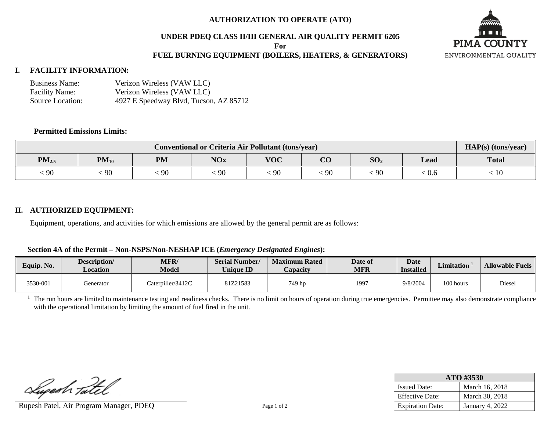### **AUTHORIZATION TO OPERATE (ATO)**

### **UNDER PDEQ CLASS II/III GENERAL AIR QUALITY PERMIT 6205**

**For**

## **FUEL BURNING EQUIPMENT (BOILERS, HEATERS, & GENERATORS)**



# **I. FACILITY INFORMATION:**

| <b>Business Name:</b> | Verizon Wireless (VAW LLC)             |
|-----------------------|----------------------------------------|
| <b>Facility Name:</b> | Verizon Wireless (VAW LLC)             |
| Source Location:      | 4927 E Speedway Blvd, Tucson, AZ 85712 |

## **Permitted Emissions Limits:**

| <b>Conventional or Criteria Air Pollutant (tons/year)</b> |           |           |            |            |                |                 |       | HAP(s) (tons/year) |
|-----------------------------------------------------------|-----------|-----------|------------|------------|----------------|-----------------|-------|--------------------|
| $PM_{2.5}$                                                | $PM_{10}$ | <b>PM</b> | <b>NOx</b> | <b>VOC</b> | $\Omega$<br>UU | SO <sub>2</sub> | Lead  | <b>Total</b>       |
| : 90                                                      | 90        | 90        | 90         | $\cdot$ 90 | 90             | $-90$           | 0.U ∴ | 10                 |

#### **II. AUTHORIZED EQUIPMENT:**

Equipment, operations, and activities for which emissions are allowed by the general permit are as follows:

### **Section 4A of the Permit – Non-NSPS/Non-NESHAP ICE (***Emergency Designated Engines***):**

| Equip. No. | Description/<br>Location | <b>MFR/</b><br><b>Model</b> | <b>Serial Number/</b><br><b>Unique ID</b> | <b>Maximum Rated</b><br><i>C</i> apacity | Date of<br>MFR | <b>Date</b><br><b>Installed</b> | <b>Limitation</b> | <b>Allowable Fuels</b> |
|------------|--------------------------|-----------------------------|-------------------------------------------|------------------------------------------|----------------|---------------------------------|-------------------|------------------------|
| 3530-001   | Generator                | Caterpiller/3412C           | 81Z21583                                  | 749 hp                                   | 1997           | 9/8/2004                        | 100 hours         | Diesel                 |

<sup>1</sup> The run hours are limited to maintenance testing and readiness checks. There is no limit on hours of operation during true emergencies. Permittee may also demonstrate compliance with the operational limitation by limiting the amount of fuel fired in the unit.

Lupesh Tatel

Rupesh Patel, Air Program Manager, PDEQ Page 1 of 2

| ATO #3530               |                 |  |  |  |  |
|-------------------------|-----------------|--|--|--|--|
| <b>Issued Date:</b>     | March 16, 2018  |  |  |  |  |
| <b>Effective Date:</b>  | March 30, 2018  |  |  |  |  |
| <b>Expiration Date:</b> | January 4, 2022 |  |  |  |  |